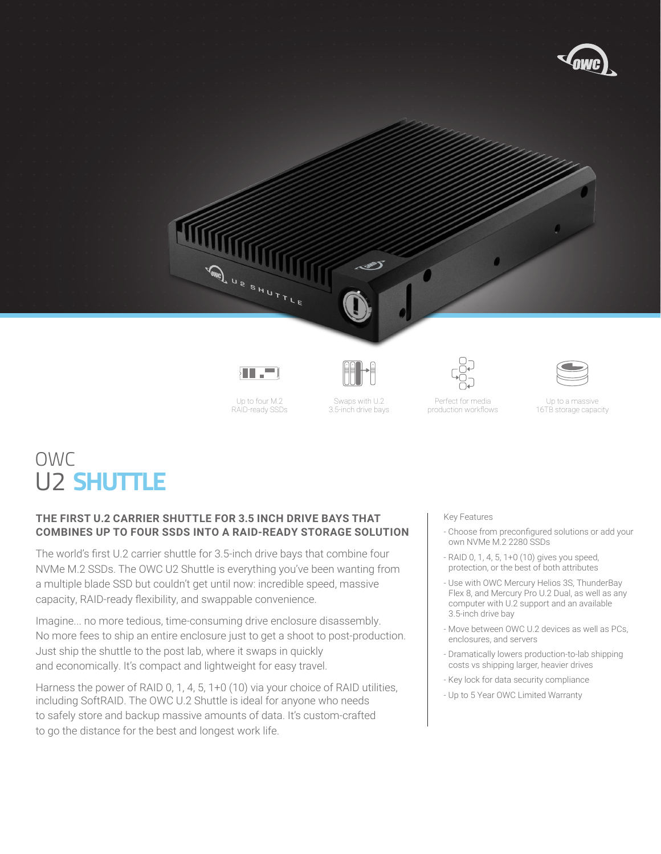

Up to four M.2 RAID-ready SSDs

Swaps with U.2 3.5-inch drive bays

Perfect for media production workflows

Up to a massive 16TB storage capacity

# OWC U2 **SHUTTLE**

## **THE FIRST U.2 CARRIER SHUTTLE FOR 3.5 INCH DRIVE BAYS THAT COMBINES UP TO FOUR SSDS INTO A RAID-READY STORAGE SOLUTION**

The world's first U.2 carrier shuttle for 3.5-inch drive bays that combine four NVMe M.2 SSDs. The OWC U2 Shuttle is everything you've been wanting from a multiple blade SSD but couldn't get until now: incredible speed, massive capacity, RAID-ready flexibility, and swappable convenience.

Imagine... no more tedious, time-consuming drive enclosure disassembly. No more fees to ship an entire enclosure just to get a shoot to post-production. Just ship the shuttle to the post lab, where it swaps in quickly and economically. It's compact and lightweight for easy travel.

Harness the power of RAID 0, 1, 4, 5, 1+0 (10) via your choice of RAID utilities, including SoftRAID. The OWC U.2 Shuttle is ideal for anyone who needs to safely store and backup massive amounts of data. It's custom-crafted to go the distance for the best and longest work life.

Key Features

- Choose from preconfigured solutions or add your own NVMe M.2 2280 SSDs
- RAID 0, 1, 4, 5, 1+0 (10) gives you speed, protection, or the best of both attributes
- Use with OWC Mercury Helios 3S, ThunderBay  Flex 8, and Mercury Pro U.2 Dual, as well as any computer with U.2 support and an available 3.5-inch drive bay
- Move between OWC U.2 devices as well as PCs, enclosures, and servers
- Dramatically lowers production-to-lab shipping costs vs shipping larger, heavier drives
- Key lock for data security compliance
- Up to 5 Year OWC Limited Warranty